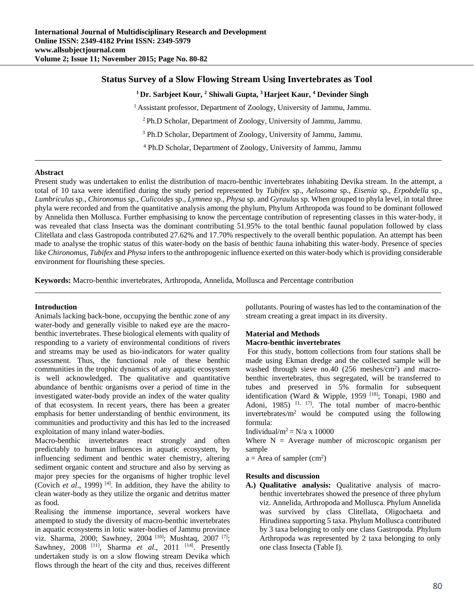# **Status Survey of a Slow Flowing Stream Using Invertebrates as Tool**

<sup>1</sup> Dr. Sarbjeet Kour, <sup>2</sup> Shiwali Gupta, <sup>3</sup> Harjeet Kaur, <sup>4</sup> Devinder Singh

<sup>1</sup> Assistant professor, Department of Zoology, University of Jammu, Jammu.

2 Ph.D Scholar, Department of Zoology, University of Jammu, Jammu.

<sup>3</sup> Ph.D Scholar, Department of Zoology, University of Jammu, Jammu.

4 Ph.D Scholar, Department of Zoology, University of Jammu, Jammu

### **Abstract**

Present study was undertaken to enlist the distribution of macro-benthic invertebrates inhabiting Devika stream. In the attempt, a total of 10 taxa were identified during the study period represented by *Tubifex* sp., *Aelosoma* sp., *Eisenia* sp., *Erpobdella* sp., *Lumbriculus* sp., *Chironomus* sp., *Culicoides* sp., *Lymnea* sp., *Physa* sp. and *Gyraulus* sp. When grouped to phyla level, in total three phyla were recorded and from the quantitative analysis among the phylum, Phylum Arthropoda was found to be dominant followed by Annelida then Mollusca. Further emphasising to know the percentage contribution of representing classes in this water-body, it was revealed that class Insecta was the dominant contributing 51.95% to the total benthic faunal population followed by class Clitellata and class Gastropoda contributed 27.62% and 17.70% respectively to the overall benthic population. An attempt has been made to analyse the trophic status of this water-body on the basis of benthic fauna inhabiting this water-body. Presence of species like *Chironomus, Tubifex* and *Physa* infers to the anthropogenic influence exerted on this water-body which is providing considerable environment for flourishing these species.

**Keywords:** Macro-benthic invertebrates, Arthropoda, Annelida, Mollusca and Percentage contribution

## **Introduction**

Animals lacking back-bone, occupying the benthic zone of any water-body and generally visible to naked eye are the macrobenthic invertebrates. These biological elements with quality of responding to a variety of environmental conditions of rivers and streams may be used as bio-indicators for water quality assessment. Thus, the functional role of these benthic communities in the trophic dynamics of any aquatic ecosystem is well acknowledged. The qualitative and quantitative abundance of benthic organisms over a period of time in the investigated water-body provide an index of the water quality of that ecosystem. In recent years, there has been a greater emphasis for better understanding of benthic environment, its communities and productivity and this has led to the increased exploitation of many inland water-bodies.

Macro-benthic invertebrates react strongly and often predictably to human influences in aquatic ecosystem, by influencing sediment and benthic water chemistry, altering sediment organic content and structure and also by serving as major prey species for the organisms of higher trophic level (Covich *et al.*, 1999)<sup>[4]</sup>. In addition, they have the ability to clean water-body as they utilize the organic and detritus matter as food.

Realising the immense importance, several workers have attempted to study the diversity of macro-benthic invertebrates in aquatic ecosystems in lotic water-bodies of Jammu province viz. Sharma, 2000; Sawhney, 2004 [10]; Mushtaq, 2007 [7]; Sawhney, 2008 [11], Sharma *et al*., 2011 [14]. Presently undertaken study is on a slow flowing stream Devika which flows through the heart of the city and thus, receives different pollutants. Pouring of wastes has led to the contamination of the stream creating a great impact in its diversity.

# **Material and Methods**

# **Macro-benthic invertebrates**

 For this study, bottom collections from four stations shall be made using Ekman dredge and the collected sample will be washed through sieve no.40 (256 meshes/cm<sup>2</sup>) and macrobenthic invertebrates, thus segregated, will be transferred to tubes and preserved in 5% formalin for subsequent identification (Ward & Wipple, 1959 [18]; Tonapi, 1980 and Adoni, 1985)  $[1, 17]$ . The total number of macro-benthic invertebrates/ $m^2$  would be computed using the following formula:

Individual/ $m^2 = N/a \times 10000$ 

Where  $N =$  Average number of microscopic organism per sample

 $a =$  Area of sampler (cm<sup>2</sup>)

### **Results and discussion**

**A.) Qualitative analysis:** Qualitative analysis of macrobenthic invertebrates showed the presence of three phylum viz. Annelida, Arthropoda and Mollusca. Phylum Annelida was survived by class Clitellata, Oligochaeta and Hirudinea supporting 5 taxa. Phylum Mollusca contributed by 3 taxa belonging to only one class Gastropoda. Phylum Arthropoda was represented by 2 taxa belonging to only one class Insecta (Table I).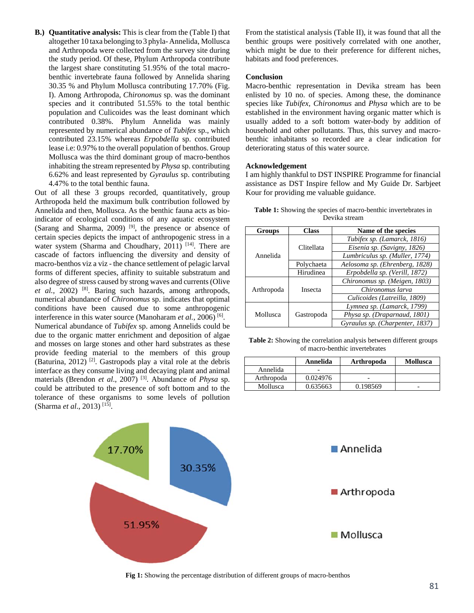**B.) Quantitative analysis:** This is clear from the (Table I) that altogether 10 taxa belonging to 3 phyla- Annelida, Mollusca and Arthropoda were collected from the survey site during the study period. Of these, Phylum Arthropoda contribute the largest share constituting 51.95% of the total macrobenthic invertebrate fauna followed by Annelida sharing 30.35 % and Phylum Mollusca contributing 17.70% (Fig. I). Among Arthropoda, *Chironomus* sp. was the dominant species and it contributed 51.55% to the total benthic population and Culicoides was the least dominant which contributed 0.38%. Phylum Annelida was mainly represented by numerical abundance of *Tubifex* sp., which contributed 23.15% whereas *Erpobdella* sp. contributed lease i.e: 0.97% to the overall population of benthos. Group Mollusca was the third dominant group of macro-benthos inhabiting the stream represented by *Physa* sp. contributing 6.62% and least represented by *Gyraulus* sp. contributing 4.47% to the total benthic fauna.

Out of all these 3 groups recorded, quantitatively, group Arthropoda held the maximum bulk contribution followed by Annelida and then, Mollusca. As the benthic fauna acts as bioindicator of ecological conditions of any aquatic ecosystem (Sarang and Sharma, 2009)  $[9]$ , the presence or absence of certain species depicts the impact of anthropogenic stress in a water system (Sharma and Choudhary, 2011) [14]. There are cascade of factors influencing the diversity and density of macro-benthos viz a viz - the chance settlement of pelagic larval forms of different species, affinity to suitable substratum and also degree of stress caused by strong waves and currents (Olive *et al.*, 2002) [8]. Baring such hazards, among arthropods, numerical abundance of *Chironomus* sp. indicates that optimal conditions have been caused due to some anthropogenic interference in this water source (Manoharam *et al.*, 2006) [6]. Numerical abundance of *Tubifex* sp. among Annelids could be due to the organic matter enrichment and deposition of algae and mosses on large stones and other hard substrates as these

provide feeding material to the members of this group (Baturina, 2012)<sup>[2]</sup>. Gastropods play a vital role at the debris interface as they consume living and decaying plant and animal materials (Brendon *et al*., 2007) [3]. Abundance of *Physa* sp. could be attributed to the presence of soft bottom and to the tolerance of these organisms to some levels of pollution (Sharma *et al*., 2013) [15].

From the statistical analysis (Table II), it was found that all the benthic groups were positively correlated with one another, which might be due to their preference for different niches, habitats and food preferences.

#### **Conclusion**

Macro-benthic representation in Devika stream has been enlisted by 10 no. of species. Among these, the dominance species like *Tubifex, Chironomus* and *Physa* which are to be established in the environment having organic matter which is usually added to a soft bottom water-body by addition of household and other pollutants. Thus, this survey and macrobenthic inhabitants so recorded are a clear indication for deteriorating status of this water source.

#### **Acknowledgement**

I am highly thankful to DST INSPIRE Programme for financial assistance as DST Inspire fellow and My Guide Dr. Sarbjeet Kour for providing me valuable guidance.

| <b>Table 1:</b> Showing the species of macro-benthic invertebrates in |  |  |  |  |
|-----------------------------------------------------------------------|--|--|--|--|
| Devika stream                                                         |  |  |  |  |

| Groups     | <b>Class</b> | Name of the species             |  |  |
|------------|--------------|---------------------------------|--|--|
| Annelida   | Clitellata   | Tubifex sp. (Lamarck, 1816)     |  |  |
|            |              | Eisenia sp. (Savigny, 1826)     |  |  |
|            |              | Lumbriculus sp. (Muller, 1774)  |  |  |
|            | Polychaeta   | Aelosoma sp. (Ehrenberg, 1828)  |  |  |
|            | Hirudinea    | Erpobdella sp. (Verill, 1872)   |  |  |
| Arthropoda | Insecta      | Chironomus sp. (Meigen, 1803)   |  |  |
|            |              | Chironomus larva                |  |  |
|            |              | Culicoides (Latreilla, 1809)    |  |  |
| Mollusca   | Gastropoda   | Lymnea sp. (Lamarck, 1799)      |  |  |
|            |              | Physa sp. (Draparnaud, 1801)    |  |  |
|            |              | Gyraulus sp. (Charpenter, 1837) |  |  |

**Table 2:** Showing the correlation analysis between different groups of macro-benthic invertebrates

|            | Annelida | Arthropoda | <b>Mollusca</b> |
|------------|----------|------------|-----------------|
| Annelida   |          |            |                 |
| Arthropoda | 0.024976 |            |                 |
| Mollusca   | 0.635663 | 0.198569   | -               |



**Fig 1:** Showing the percentage distribution of different groups of macro-benthos